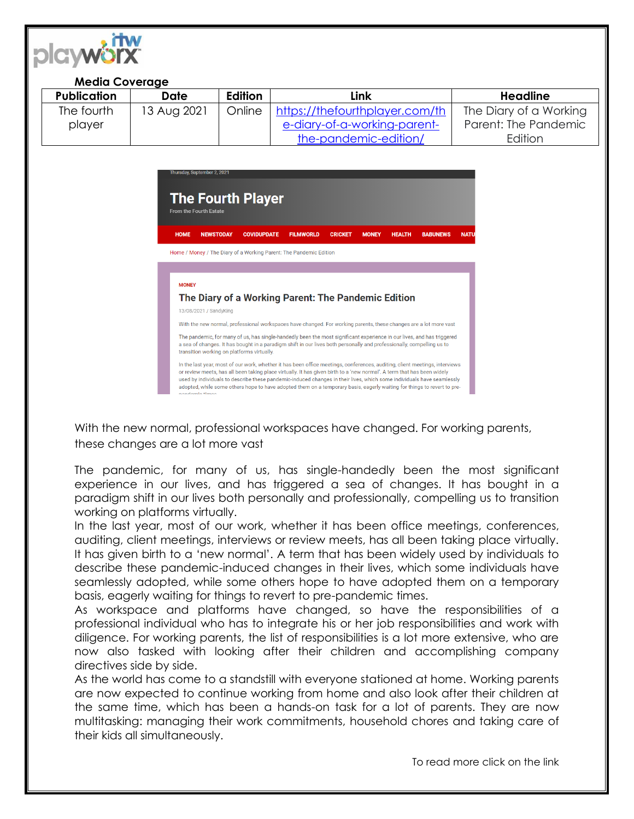

## **Media Coverage**

| <b>Publication</b> | Date        | Edition | Link                           | Headline               |
|--------------------|-------------|---------|--------------------------------|------------------------|
| The fourth         | 13 Aug 2021 | Online  | https://thefourthplayer.com/th | The Diary of a Working |
| player             |             |         | e-diary-of-a-working-parent-   | Parent: The Pandemic   |
|                    |             |         | the-pandemic-edition/          | Edition                |



With the new normal, professional workspaces have changed. For working parents, these changes are a lot more vast

The pandemic, for many of us, has single-handedly been the most significant experience in our lives, and has triggered a sea of changes. It has bought in a paradigm shift in our lives both personally and professionally, compelling us to transition working on platforms virtually.

In the last year, most of our work, whether it has been office meetings, conferences, auditing, client meetings, interviews or review meets, has all been taking place virtually. It has given birth to a 'new normal'. A term that has been widely used by individuals to describe these pandemic-induced changes in their lives, which some individuals have seamlessly adopted, while some others hope to have adopted them on a temporary basis, eagerly waiting for things to revert to pre-pandemic times.

As workspace and platforms have changed, so have the responsibilities of a professional individual who has to integrate his or her job responsibilities and work with diligence. For working parents, the list of responsibilities is a lot more extensive, who are now also tasked with looking after their children and accomplishing company directives side by side.

As the world has come to a standstill with everyone stationed at home. Working parents are now expected to continue working from home and also look after their children at the same time, which has been a hands-on task for a lot of parents. They are now multitasking: managing their work commitments, household chores and taking care of their kids all simultaneously.

To read more click on the link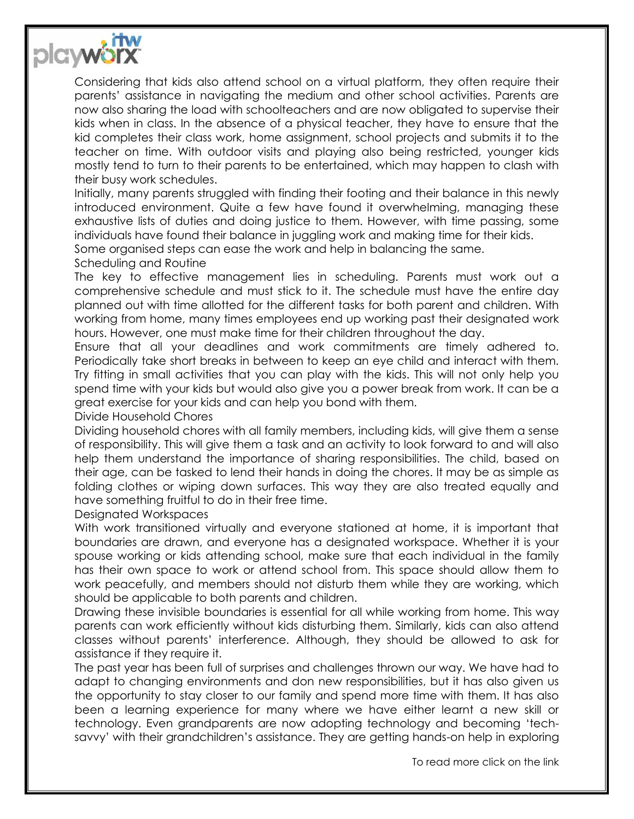

Considering that kids also attend school on a virtual platform, they often require their parents' assistance in navigating the medium and other school activities. Parents are now also sharing the load with schoolteachers and are now obligated to supervise their kids when in class. In the absence of a physical teacher, they have to ensure that the kid completes their class work, home assignment, school projects and submits it to the teacher on time. With outdoor visits and playing also being restricted, younger kids mostly tend to turn to their parents to be entertained, which may happen to clash with their busy work schedules.

Initially, many parents struggled with finding their footing and their balance in this newly introduced environment. Quite a few have found it overwhelming, managing these exhaustive lists of duties and doing justice to them. However, with time passing, some individuals have found their balance in juggling work and making time for their kids.

Some organised steps can ease the work and help in balancing the same.

## Scheduling and Routine

The key to effective management lies in scheduling. Parents must work out a comprehensive schedule and must stick to it. The schedule must have the entire day planned out with time allotted for the different tasks for both parent and children. With working from home, many times employees end up working past their designated work hours. However, one must make time for their children throughout the day.

Ensure that all your deadlines and work commitments are timely adhered to. Periodically take short breaks in between to keep an eye child and interact with them. Try fitting in small activities that you can play with the kids. This will not only help you spend time with your kids but would also give you a power break from work. It can be a great exercise for your kids and can help you bond with them.

## Divide Household Chores

Dividing household chores with all family members, including kids, will give them a sense of responsibility. This will give them a task and an activity to look forward to and will also help them understand the importance of sharing responsibilities. The child, based on their age, can be tasked to lend their hands in doing the chores. It may be as simple as folding clothes or wiping down surfaces. This way they are also treated equally and have something fruitful to do in their free time.

## Designated Workspaces

With work transitioned virtually and everyone stationed at home, it is important that boundaries are drawn, and everyone has a designated workspace. Whether it is your spouse working or kids attending school, make sure that each individual in the family has their own space to work or attend school from. This space should allow them to work peacefully, and members should not disturb them while they are working, which should be applicable to both parents and children.

Drawing these invisible boundaries is essential for all while working from home. This way parents can work efficiently without kids disturbing them. Similarly, kids can also attend classes without parents' interference. Although, they should be allowed to ask for assistance if they require it.

The past year has been full of surprises and challenges thrown our way. We have had to adapt to changing environments and don new responsibilities, but it has also given us the opportunity to stay closer to our family and spend more time with them. It has also been a learning experience for many where we have either learnt a new skill or technology. Even grandparents are now adopting technology and becoming 'techsavvy' with their grandchildren's assistance. They are getting hands-on help in exploring

To read more click on the link